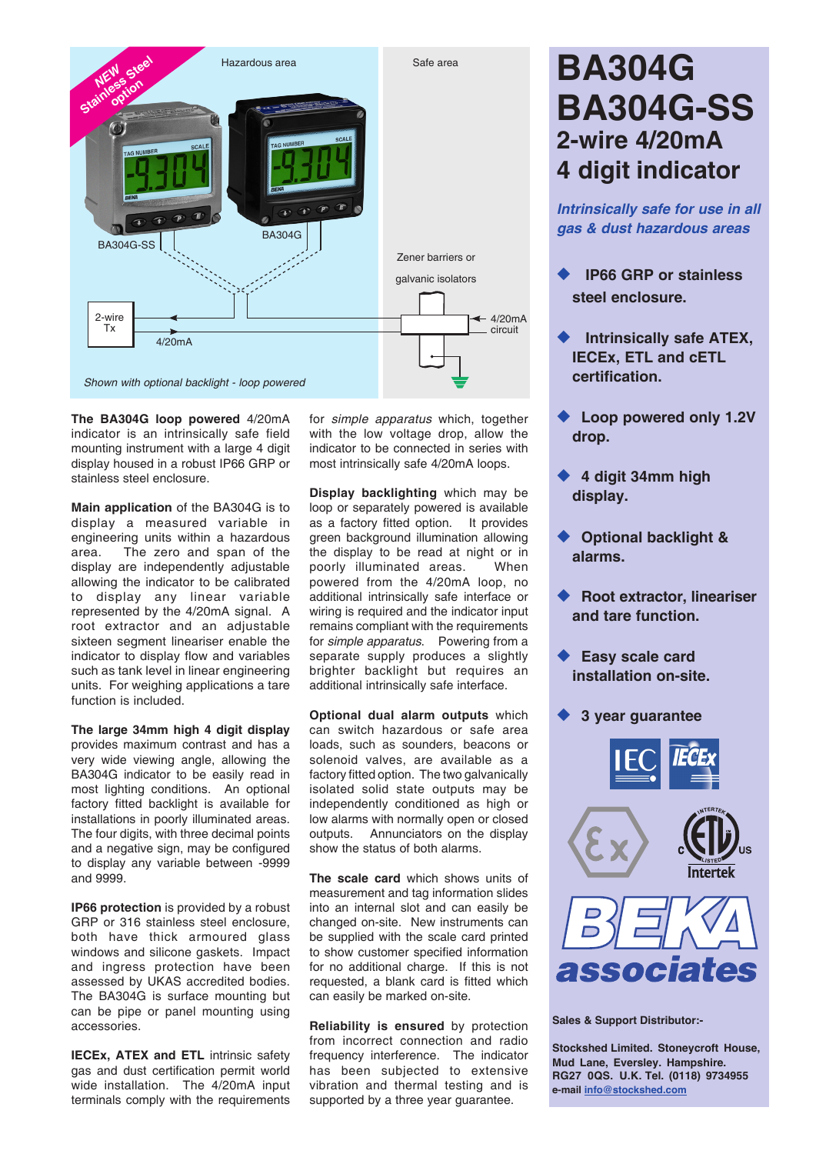

**The BA304G loop powered** 4/20mA indicator is an intrinsically safe field mounting instrument with a large 4 digit display housed in a robust IP66 GRP or stainless steel enclosure.

**Main application** of the BA304G is to display a measured variable in engineering units within a hazardous area. The zero and span of the display are independently adjustable allowing the indicator to be calibrated to display any linear variable represented by the 4/20mA signal. A root extractor and an adjustable sixteen segment lineariser enable the indicator to display flow and variables such as tank level in linear engineering units. For weighing applications a tare function is included.

**The large 34mm high 4 digit display** provides maximum contrast and has a very wide viewing angle, allowing the BA304G indicator to be easily read in most lighting conditions. An optional factory fitted backlight is available for installations in poorly illuminated areas. The four digits, with three decimal points and a negative sign, may be configured to display any variable between -9999 and 9999.

**IP66 protection** is provided by a robust GRP or 316 stainless steel enclosure, both have thick armoured glass windows and silicone gaskets. Impact and ingress protection have been assessed by UKAS accredited bodies. The BA304G is surface mounting but can be pipe or panel mounting using accessories.

**IECEx, ATEX and ETL** intrinsic safety gas and dust certification permit world wide installation. The 4/20mA input terminals comply with the requirements

for *simple apparatus* which, together with the low voltage drop, allow the indicator to be connected in series with most intrinsically safe 4/20mA loops.

**Display backlighting** which may be loop or separately powered is available as a factory fitted option. It provides green background illumination allowing the display to be read at night or in poorly illuminated areas. When powered from the 4/20mA loop, no additional intrinsically safe interface or wiring is required and the indicator input remains compliant with the requirements for *simple apparatus*. Powering from a separate supply produces a slightly brighter backlight but requires an additional intrinsically safe interface.

**Optional dual alarm outputs** which can switch hazardous or safe area loads, such as sounders, beacons or solenoid valves, are available as a factory fitted option. The two galvanically isolated solid state outputs may be independently conditioned as high or low alarms with normally open or closed outputs. Annunciators on the display show the status of both alarms.

**The scale card** which shows units of measurement and tag information slides into an internal slot and can easily be changed on-site. New instruments can be supplied with the scale card printed to show customer specified information for no additional charge. If this is not requested, a blank card is fitted which can easily be marked on-site.

**Reliability is ensured** by protection from incorrect connection and radio frequency interference. The indicator has been subjected to extensive vibration and thermal testing and is supported by a three year quarantee.

## **BA304G BA304G-SS 2-wire 4/20mA 4 digit indicator**

*Intrinsically safe for use in all gas & dust hazardous areas*

- **IP66 GRP or stainless steel enclosure.**
- **Intrinsically safe ATEX, IECEx, ETL and cETL certification.**
- ◆ Loop powered only 1.2V **drop.**
- ◆ 4 digit 34mm high **display.**
- ◆ Optional backlight & **alarms.**
- **Root extractor, lineariser and tare function.**
- **Easy scale card installation on-site.**
- **3 year quarantee**



**Sales & Support Distributor:-**

**Stockshed Limited. Stoneycroft House, Mud Lane, Eversley. Hampshire. RG27 0QS. U.K. Tel. (0118) 9734955 e-mail info@stockshed.com**